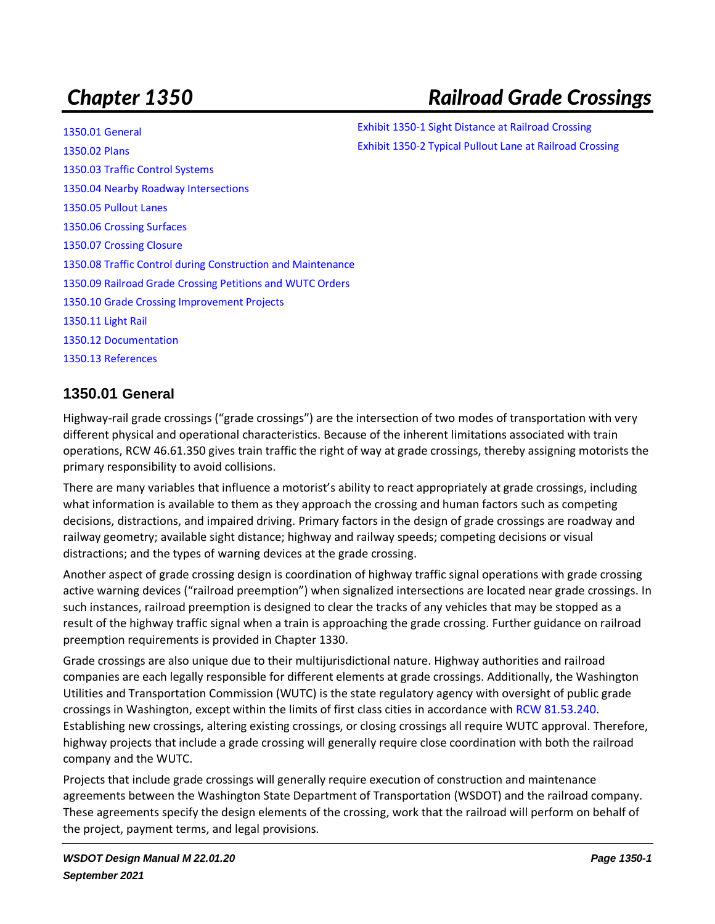# *Chapter 1350 Railroad Grade Crossings*

[Exhibit 1350-1 Sight Distance at Railroad Crossing](#page-3-0)

[Exhibit 1350-2 Typical Pullout Lane at Railroad Crossing](#page-7-1)

[1350.01 General](#page-0-0) [1350.02 Plans](#page-1-0) [1350.03 Traffic Control Systems](#page-4-0) [1350.04 Nearby Roadway Intersections](#page-6-0) [1350.05 Pullout Lanes](#page-6-1) [1350.06 Crossing Surfaces](#page-7-0) [1350.07 Crossing Closure](#page-8-0) [1350.08 Traffic Control during Construction and Maintenance](#page-8-1) [1350.09 Railroad Grade Crossing Petitions and WUTC Orders](#page-8-2) [1350.10 Grade Crossing Improvement Projects](#page-8-3) [1350.11 Light Rail](#page-9-0) [1350.12 Documentation](#page-9-1) [1350.13 References](#page-9-2)

# <span id="page-0-0"></span>**1350.01 General**

Highway-rail grade crossings ("grade crossings") are the intersection of two modes of transportation with very different physical and operational characteristics. Because of the inherent limitations associated with train operations, RCW [46.61.350](http://apps.leg.wa.gov/RCW/default.aspx?cite=46.61.350) gives train traffic the right of way at grade crossings, thereby assigning motorists the primary responsibility to avoid collisions.

There are many variables that influence a motorist's ability to react appropriately at grade crossings, including what information is available to them as they approach the crossing and human factors such as competing decisions, distractions, and impaired driving. Primary factors in the design of grade crossings are roadway and railway geometry; available sight distance; highway and railway speeds; competing decisions or visual distractions; and the types of warning devices at the grade crossing.

Another aspect of grade crossing design is coordination of highway traffic signal operations with grade crossing active warning devices ("railroad preemption") when signalized intersections are located near grade crossings. In such instances, railroad preemption is designed to clear the tracks of any vehicles that may be stopped as a result of the highway traffic signal when a train is approaching the grade crossing. Further guidance on railroad preemption requirements is provided in Chapter 1330.

Grade crossings are also unique due to their multijurisdictional nature. Highway authorities and railroad companies are each legally responsible for different elements at grade crossings. Additionally, the Washington Utilities and Transportation Commission (WUTC) is the state regulatory agency with oversight of public grade crossings in Washington, except within the limits of first class cities in accordance with RCW [81.53.240.](http://apps.leg.wa.gov/RCW/default.aspx?cite=81.53.240) Establishing new crossings, altering existing crossings, or closing crossings all require WUTC approval. Therefore, highway projects that include a grade crossing will generally require close coordination with both the railroad company and the WUTC.

Projects that include grade crossings will generally require execution of construction and maintenance agreements between the Washington State Department of Transportation (WSDOT) and the railroad company. These agreements specify the design elements of the crossing, work that the railroad will perform on behalf of the project, payment terms, and legal provisions.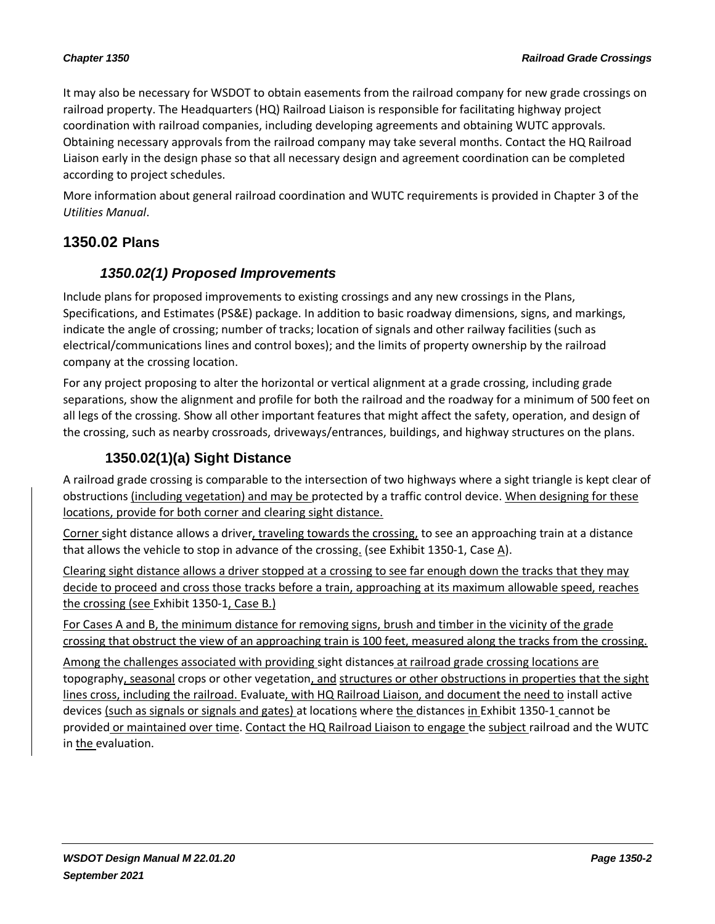It may also be necessary for WSDOT to obtain easements from the railroad company for new grade crossings on railroad property. The Headquarters (HQ) Railroad Liaison is responsible for facilitating highway project coordination with railroad companies, including developing agreements and obtaining WUTC approvals. Obtaining necessary approvals from the railroad company may take several months. Contact the HQ Railroad Liaison early in the design phase so that all necessary design and agreement coordination can be completed according to project schedules.

More information about general railroad coordination and WUTC requirements is provided in Chapter 3 of the *Utilities [Manual](http://www.wsdot.wa.gov/Publications/Manuals/M22-87.htm)*.

# <span id="page-1-0"></span>**1350.02 Plans**

### *1350.02(1) Proposed Improvements*

Include plans for proposed improvements to existing crossings and any new crossings in the Plans, Specifications, and Estimates (PS&E) package. In addition to basic roadway dimensions, signs, and markings, indicate the angle of crossing; number of tracks; location of signals and other railway facilities (such as electrical/communications lines and control boxes); and the limits of property ownership by the railroad company at the crossing location.

For any project proposing to alter the horizontal or vertical alignment at a grade crossing, including grade separations, show the alignment and profile for both the railroad and the roadway for a minimum of 500 feet on all legs of the crossing. Show all other important features that might affect the safety, operation, and design of the crossing, such as nearby crossroads, driveways/entrances, buildings, and highway structures on the plans.

# **1350.02(1)(a) Sight Distance**

A railroad grade crossing is comparable to the intersection of two highways where a sight triangle is kept clear of obstructions (including vegetation) and may be protected by a traffic control device. When designing for these locations, provide for both corner and clearing sight distance.

Corner sight distance allows a driver, traveling towards the crossing, to see an approaching train at a distance that allows the vehicle to stop in advance of the crossing. (see [Exhibit 1350-1,](#page-3-0) Case  $\underline{A}$ ).

Clearing sight distance allows a driver stopped at a crossing to see far enough down the tracks that they may decide to proceed and cross those tracks before a train, approaching at its maximum allowable speed, reaches the crossing (see [Exhibit 1350-1,](#page-3-0) Case B.)

For Cases A and B, the minimum distance for removing signs, brush and timber in the vicinity of the grade crossing that obstruct the view of an approaching train is 100 feet, measured along the tracks from the crossing.

Among the challenges associated with providing sight distances at railroad grade crossing locations are topography, seasonal crops or other vegetation, and structures or other obstructions in properties that the sight lines cross, including the railroad. Evaluate, with HQ Railroad Liaison, and document the need to install active devices (such as signals or signals and gates) at locations where the distances i[n Exhibit 1350-1](#page-3-0) cannot be provided or maintained over time. Contact the HQ Railroad Liaison to engage the subject railroad and the WUTC in the evaluation.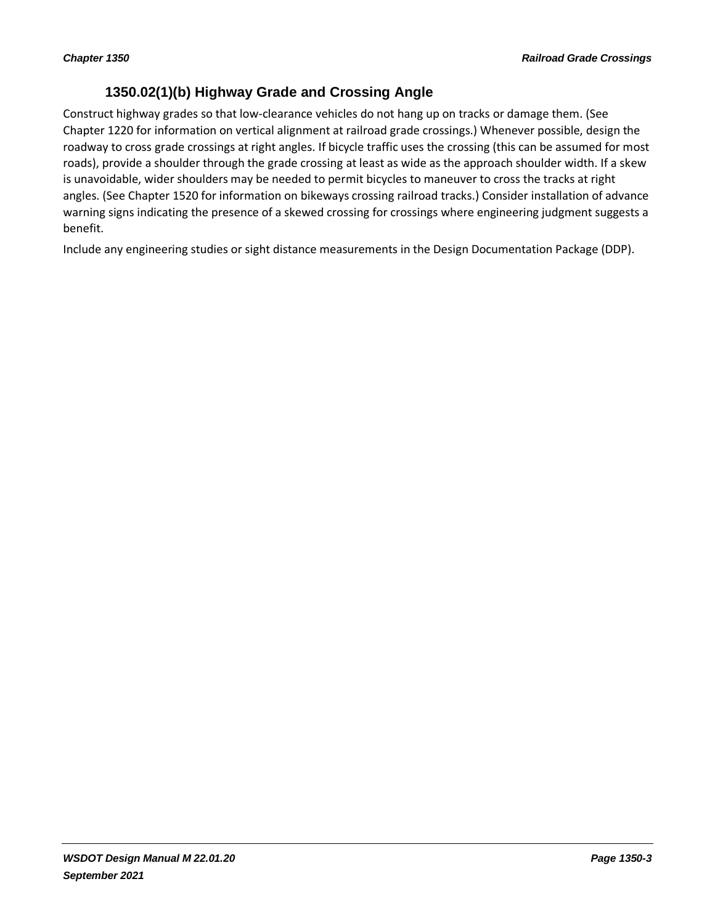# **1350.02(1)(b) Highway Grade and Crossing Angle**

Construct highway grades so that low-clearance vehicles do not hang up on tracks or damage them. (See Chapter 1220 for information on vertical alignment at railroad grade crossings.) Whenever possible, design the roadway to cross grade crossings at right angles. If bicycle traffic uses the crossing (this can be assumed for most roads), provide a shoulder through the grade crossing at least as wide as the approach shoulder width. If a skew is unavoidable, wider shoulders may be needed to permit bicycles to maneuver to cross the tracks at right angles. (See Chapter 1520 for information on bikeways crossing railroad tracks.) Consider installation of advance warning signs indicating the presence of a skewed crossing for crossings where engineering judgment suggests a benefit.

Include any engineering studies or sight distance measurements in the Design Documentation Package (DDP).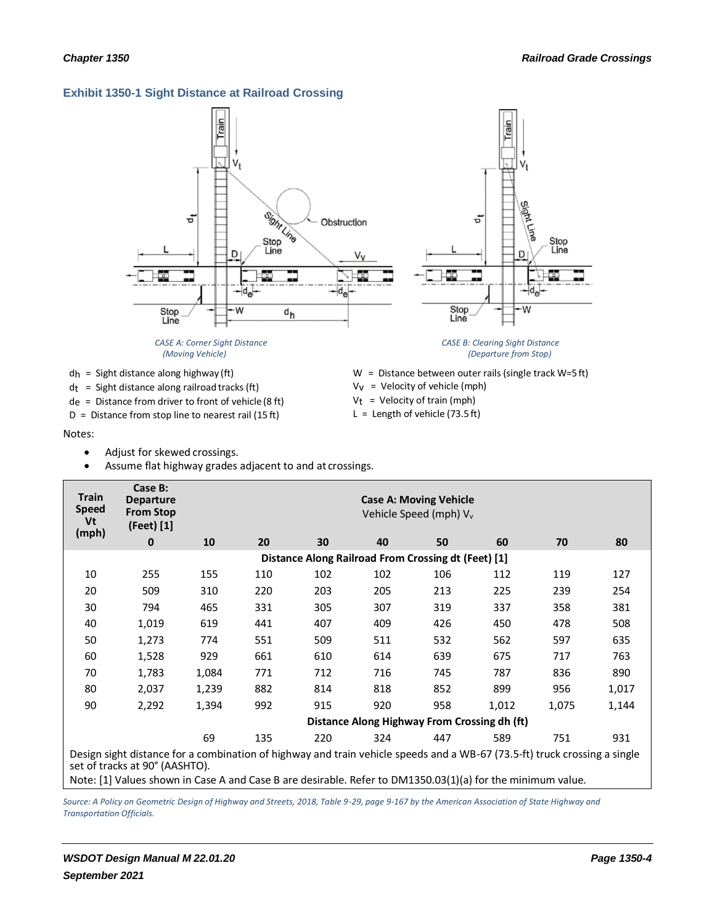#### <span id="page-3-0"></span>**Exhibit 1350-1 Sight Distance at Railroad Crossing**



 $W =$  Distance between outer rails (single track W=5 ft)

Vv = Velocity of vehicle (mph)  $Vt = Velocity of train (mph)$ L = Length of vehicle  $(73.5 ft)$ 

- $d_h$  = Sight distance along highway (ft)
- $dt =$  Sight distance along railroad tracks (ft)
- $d_e$  = Distance from driver to front of vehicle (8 ft)
- D = Distance from stop line to nearest rail (15 ft)

Notes:

- Adjust for skewed crossings.
- Assume flat highway grades adjacent to and at crossings.

| <b>Train</b><br><b>Speed</b><br>Vt<br>(mph)                                                                                                                 | Case B:<br><b>Departure</b><br><b>From Stop</b><br>(Feet) [1] | <b>Case A: Moving Vehicle</b><br>Vehicle Speed (mph) $V_v$ |     |     |     |     |       |       |       |  |
|-------------------------------------------------------------------------------------------------------------------------------------------------------------|---------------------------------------------------------------|------------------------------------------------------------|-----|-----|-----|-----|-------|-------|-------|--|
|                                                                                                                                                             | 0                                                             | 10                                                         | 20  | 30  | 40  | 50  | 60    | 70    | 80    |  |
|                                                                                                                                                             | <b>Distance Along Railroad From Crossing dt (Feet) [1]</b>    |                                                            |     |     |     |     |       |       |       |  |
| 10                                                                                                                                                          | 255                                                           | 155                                                        | 110 | 102 | 102 | 106 | 112   | 119   | 127   |  |
| 20                                                                                                                                                          | 509                                                           | 310                                                        | 220 | 203 | 205 | 213 | 225   | 239   | 254   |  |
| 30                                                                                                                                                          | 794                                                           | 465                                                        | 331 | 305 | 307 | 319 | 337   | 358   | 381   |  |
| 40                                                                                                                                                          | 1,019                                                         | 619                                                        | 441 | 407 | 409 | 426 | 450   | 478   | 508   |  |
| 50                                                                                                                                                          | 1,273                                                         | 774                                                        | 551 | 509 | 511 | 532 | 562   | 597   | 635   |  |
| 60                                                                                                                                                          | 1,528                                                         | 929                                                        | 661 | 610 | 614 | 639 | 675   | 717   | 763   |  |
| 70                                                                                                                                                          | 1,783                                                         | 1,084                                                      | 771 | 712 | 716 | 745 | 787   | 836   | 890   |  |
| 80                                                                                                                                                          | 2,037                                                         | 1,239                                                      | 882 | 814 | 818 | 852 | 899   | 956   | 1,017 |  |
| 90                                                                                                                                                          | 2,292                                                         | 1,394                                                      | 992 | 915 | 920 | 958 | 1,012 | 1,075 | 1,144 |  |
|                                                                                                                                                             |                                                               | Distance Along Highway From Crossing dh (ft)               |     |     |     |     |       |       |       |  |
|                                                                                                                                                             |                                                               | 69                                                         | 135 | 220 | 324 | 447 | 589   | 751   | 931   |  |
| Design sight distance for a combination of highway and train vehicle speeds and a WB-67 (73.5-ft) truck crossing a single<br>set of tracks at 90° (AASHTO). |                                                               |                                                            |     |     |     |     |       |       |       |  |
| Note: [1] Values shown in Case A and Case B are desirable. Refer to DM1350.03(1)(a) for the minimum value.                                                  |                                                               |                                                            |     |     |     |     |       |       |       |  |

*Source: A Policy on Geometric Design of Highway and Streets, 2018, Table 9-29, page 9-167 by the American Association of State Highway and Transportation Officials.*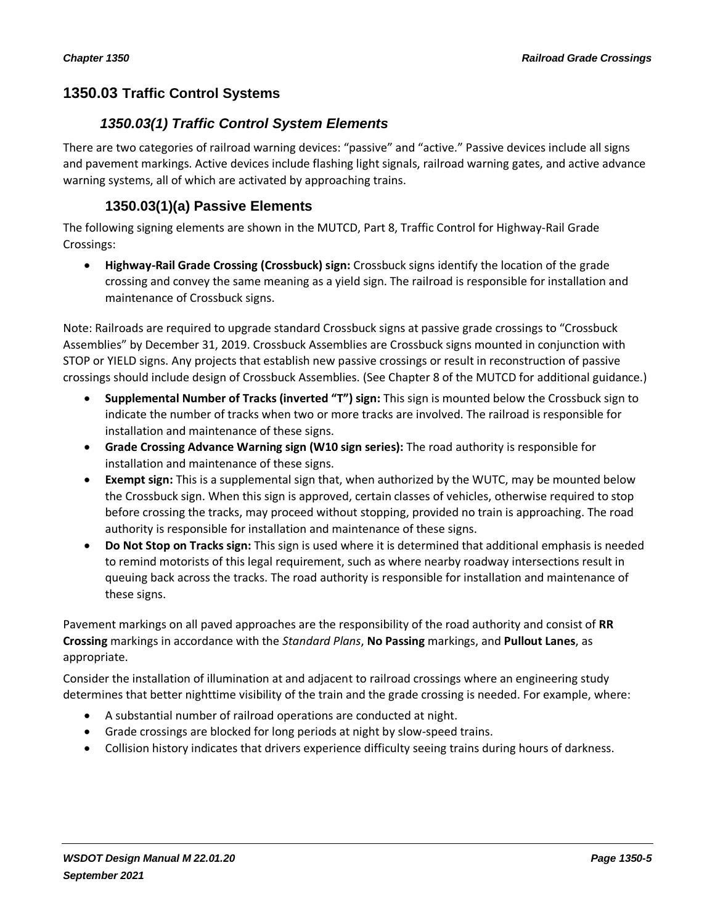# <span id="page-4-0"></span>**1350.03 Traffic Control Systems**

#### *1350.03(1) Traffic Control System Elements*

There are two categories of railroad warning devices: "passive" and "active." Passive devices include all signs and pavement markings. Active devices include flashing light signals, railroad warning gates, and active advance warning systems, all of which are activated by approaching trains.

### **1350.03(1)(a) Passive Elements**

The following signing elements are shown in the [MUTCD,](http://www.wsdot.wa.gov/Publications/Manuals/MUTCD.htm) Part 8, Traffic Control for Highway-Rail Grade Crossings:

• **Highway-Rail Grade Crossing (Crossbuck) sign:** Crossbuck signs identify the location of the grade crossing and convey the same meaning as a yield sign. The railroad is responsible for installation and maintenance of Crossbuck signs.

Note: Railroads are required to upgrade standard Crossbuck signs at passive grade crossings to "Crossbuck Assemblies" by December 31, 2019. Crossbuck Assemblies are Crossbuck signs mounted in conjunction with STOP or YIELD signs. Any projects that establish new passive crossings or result in reconstruction of passive crossings should include design of Crossbuck Assemblies. (See Chapter 8 of the [MUTCD](http://www.wsdot.wa.gov/Publications/Manuals/MUTCD.htm) for additional guidance.)

- **Supplemental Number of Tracks (inverted "T") sign:** This sign is mounted below the Crossbuck sign to indicate the number of tracks when two or more tracks are involved. The railroad is responsible for installation and maintenance of these signs.
- **Grade Crossing Advance Warning sign (W10 sign series):** The road authority is responsible for installation and maintenance of these signs.
- **Exempt sign:** This is a supplemental sign that, when authorized by the WUTC, may be mounted below the Crossbuck sign. When this sign is approved, certain classes of vehicles, otherwise required to stop before crossing the tracks, may proceed without stopping, provided no train is approaching. The road authority is responsible for installation and maintenance of these signs.
- **Do Not Stop on Tracks sign:** This sign is used where it is determined that additional emphasis is needed to remind motorists of this legal requirement, such as where nearby roadway intersections result in queuing back across the tracks. The road authority is responsible for installation and maintenance of these signs.

Pavement markings on all paved approaches are the responsibility of the road authority and consist of **RR Crossing** markings in accordance with the *[Standard](http://www.wsdot.wa.gov/Publications/Manuals/M21-01.htm) Plans*, **No Passing** markings, and **Pullout Lanes**, as appropriate.

Consider the installation of illumination at and adjacent to railroad crossings where an engineering study determines that better nighttime visibility of the train and the grade crossing is needed. For example, where:

- A substantial number of railroad operations are conducted at night.
- Grade crossings are blocked for long periods at night by slow-speed trains.
- Collision history indicates that drivers experience difficulty seeing trains during hours of darkness.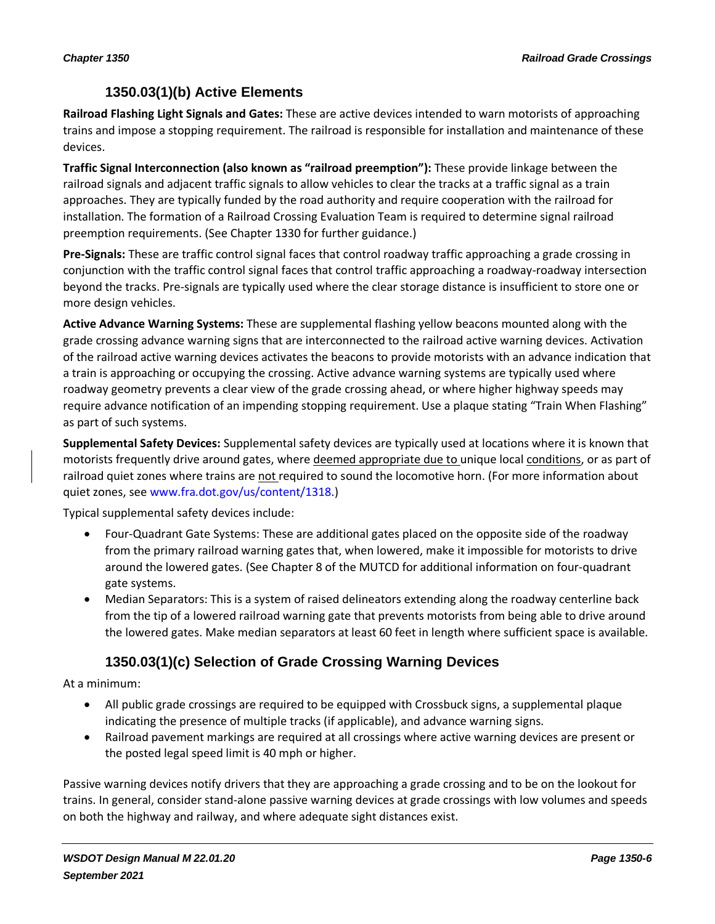### **1350.03(1)(b) Active Elements**

**Railroad Flashing Light Signals and Gates:** These are active devices intended to warn motorists of approaching trains and impose a stopping requirement. The railroad is responsible for installation and maintenance of these devices.

**Traffic Signal Interconnection (also known as "railroad preemption"):** These provide linkage between the railroad signals and adjacent traffic signals to allow vehicles to clear the tracks at a traffic signal as a train approaches. They are typically funded by the road authority and require cooperation with the railroad for installation. The formation of a Railroad Crossing Evaluation Team is required to determine signal railroad preemption requirements. (See Chapter 1330 for further guidance.)

**Pre-Signals:** These are traffic control signal faces that control roadway traffic approaching a grade crossing in conjunction with the traffic control signal faces that control traffic approaching a roadway-roadway intersection beyond the tracks. Pre-signals are typically used where the clear storage distance is insufficient to store one or more design vehicles.

**Active Advance Warning Systems:** These are supplemental flashing yellow beacons mounted along with the grade crossing advance warning signs that are interconnected to the railroad active warning devices. Activation of the railroad active warning devices activates the beacons to provide motorists with an advance indication that a train is approaching or occupying the crossing. Active advance warning systems are typically used where roadway geometry prevents a clear view of the grade crossing ahead, or where higher highway speeds may require advance notification of an impending stopping requirement. Use a plaque stating "Train When Flashing" as part of such systems.

**Supplemental Safety Devices:** Supplemental safety devices are typically used at locations where it is known that motorists frequently drive around gates, where deemed appropriate due to unique local conditions, or as part of railroad quiet zones where trains are not required to sound the locomotive horn. (For more information about quiet zones, see [www.fra.dot.gov/us/content/1318.](http://www.fra.dot.gov/us/content/1318))

Typical supplemental safety devices include:

- Four-Quadrant Gate Systems: These are additional gates placed on the opposite side of the roadway from the primary railroad warning gates that, when lowered, make it impossible for motorists to drive around the lowered gates. (See Chapter 8 of the [MUTCD](http://www.wsdot.wa.gov/Publications/Manuals/MUTCD.htm) for additional information on four-quadrant gate systems.
- Median Separators: This is a system of raised delineators extending along the roadway centerline back from the tip of a lowered railroad warning gate that prevents motorists from being able to drive around the lowered gates. Make median separators at least 60 feet in length where sufficient space is available.

# **1350.03(1)(c) Selection of Grade Crossing Warning Devices**

#### At a minimum:

- All public grade crossings are required to be equipped with Crossbuck signs, a supplemental plaque indicating the presence of multiple tracks (if applicable), and advance warning signs.
- Railroad pavement markings are required at all crossings where active warning devices are present or the posted legal speed limit is 40 mph or higher.

Passive warning devices notify drivers that they are approaching a grade crossing and to be on the lookout for trains. In general, consider stand-alone passive warning devices at grade crossings with low volumes and speeds on both the highway and railway, and where adequate sight distances exist.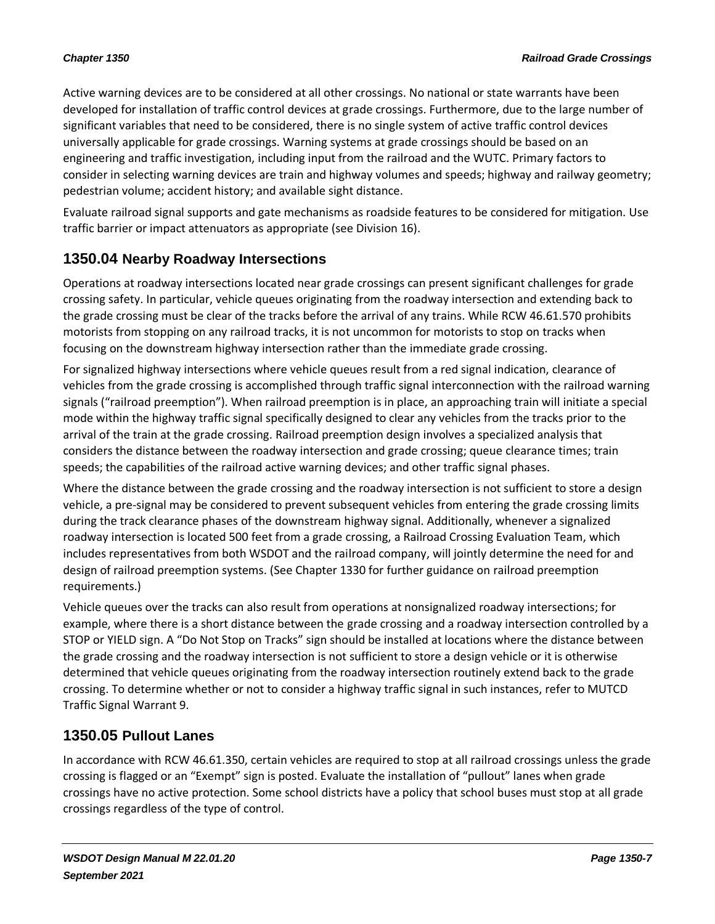Active warning devices are to be considered at all other crossings. No national or state warrants have been developed for installation of traffic control devices at grade crossings. Furthermore, due to the large number of significant variables that need to be considered, there is no single system of active traffic control devices universally applicable for grade crossings. Warning systems at grade crossings should be based on an engineering and traffic investigation, including input from the railroad and the WUTC. Primary factors to consider in selecting warning devices are train and highway volumes and speeds; highway and railway geometry; pedestrian volume; accident history; and available sight distance.

Evaluate railroad signal supports and gate mechanisms as roadside features to be considered for mitigation. Use traffic barrier or impact attenuators as appropriate (see Division 16).

# <span id="page-6-0"></span>**1350.04 Nearby Roadway Intersections**

Operations at roadway intersections located near grade crossings can present significant challenges for grade crossing safety. In particular, vehicle queues originating from the roadway intersection and extending back to the grade crossing must be clear of the tracks before the arrival of any trains. While RCW [46.61.570](http://apps.leg.wa.gov/RCW/default.aspx?cite=46.61.570) prohibits motorists from stopping on any railroad tracks, it is not uncommon for motorists to stop on tracks when focusing on the downstream highway intersection rather than the immediate grade crossing.

For signalized highway intersections where vehicle queues result from a red signal indication, clearance of vehicles from the grade crossing is accomplished through traffic signal interconnection with the railroad warning signals ("railroad preemption"). When railroad preemption is in place, an approaching train will initiate a special mode within the highway traffic signal specifically designed to clear any vehicles from the tracks prior to the arrival of the train at the grade crossing. Railroad preemption design involves a specialized analysis that considers the distance between the roadway intersection and grade crossing; queue clearance times; train speeds; the capabilities of the railroad active warning devices; and other traffic signal phases.

Where the distance between the grade crossing and the roadway intersection is not sufficient to store a design vehicle, a pre-signal may be considered to prevent subsequent vehicles from entering the grade crossing limits during the track clearance phases of the downstream highway signal. Additionally, whenever a signalized roadway intersection is located 500 feet from a grade crossing, a Railroad Crossing Evaluation Team, which includes representatives from both WSDOT and the railroad company, will jointly determine the need for and design of railroad preemption systems. (See Chapter 1330 for further guidance on railroad preemption requirements.)

Vehicle queues over the tracks can also result from operations at nonsignalized roadway intersections; for example, where there is a short distance between the grade crossing and a roadway intersection controlled by a STOP or YIELD sign. A "Do Not Stop on Tracks" sign should be installed at locations where the distance between the grade crossing and the roadway intersection is not sufficient to store a design vehicle or it is otherwise determined that vehicle queues originating from the roadway intersection routinely extend back to the grade crossing. To determine whether or not to consider a highway traffic signal in such instances, refer to [MUTCD](http://www.wsdot.wa.gov/Publications/Manuals/MUTCD.htm) Traffic Signal Warrant 9.

# <span id="page-6-1"></span>**1350.05 Pullout Lanes**

In accordance with RCW [46.61.350,](http://apps.leg.wa.gov/RCW/default.aspx?cite=46.61.350) certain vehicles are required to stop at all railroad crossings unless the grade crossing is flagged or an "Exempt" sign is posted. Evaluate the installation of "pullout" lanes when grade crossings have no active protection. Some school districts have a policy that school buses must stop at all grade crossings regardless of the type of control.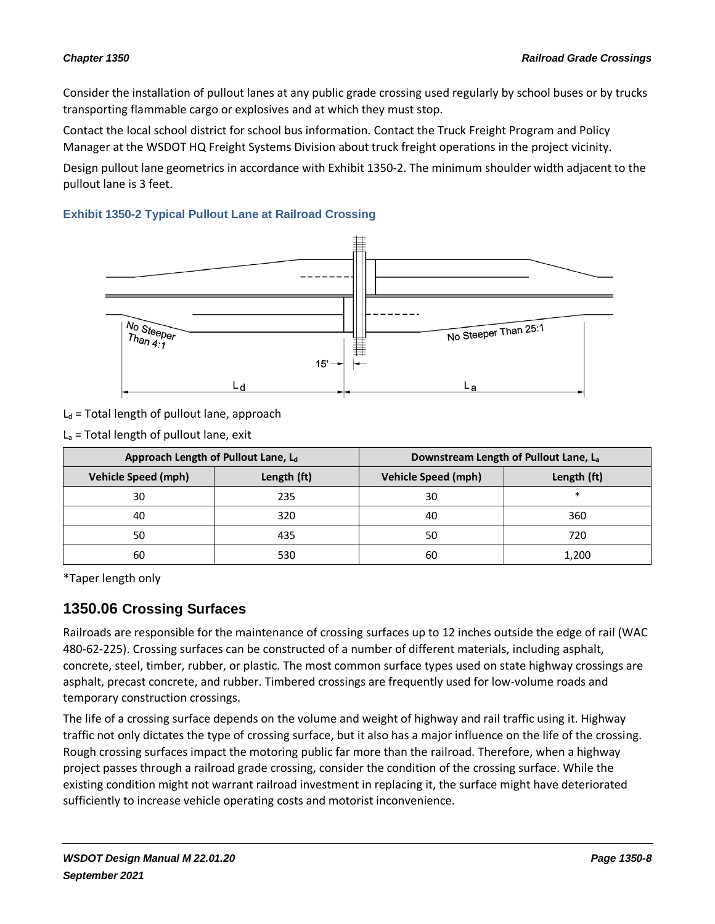Consider the installation of pullout lanes at any public grade crossing used regularly by school buses or by trucks transporting flammable cargo or explosives and at which they must stop.

Contact the local school district for school bus information. Contact the Truck Freight Program and Policy Manager at the WSDOT HQ Freight Systems Division about truck freight operations in the project vicinity.

Design pullout lane geometrics in accordance with [Exhibit 1350-2.](#page-7-1) The minimum shoulder width adjacent to the pullout lane is 3 feet.

#### <span id="page-7-1"></span>**Exhibit 1350-2 Typical Pullout Lane at Railroad Crossing**



#### $L_d$  = Total length of pullout lane, approach

 $L<sub>a</sub>$  = Total length of pullout lane, exit

| Approach Length of Pullout Lane, L <sub>d</sub> |             | Downstream Length of Pullout Lane, L <sub>a</sub> |             |  |  |
|-------------------------------------------------|-------------|---------------------------------------------------|-------------|--|--|
| <b>Vehicle Speed (mph)</b>                      | Length (ft) | Vehicle Speed (mph)                               | Length (ft) |  |  |
| 30                                              | 235         | 30                                                | $\ast$      |  |  |
| 40                                              | 320         | 40                                                | 360         |  |  |
| 50                                              | 435         | 50                                                | 720         |  |  |
| 60                                              | 530         | 60                                                | 1.200       |  |  |

\*Taper length only

# <span id="page-7-0"></span>**1350.06 Crossing Surfaces**

Railroads are responsible for the maintenance of crossing surfaces up to 12 inches outside the edge of rail [\(WAC](http://apps.leg.wa.gov/wac/default.aspx?cite=480-62-225) [480-62-225\)](http://apps.leg.wa.gov/wac/default.aspx?cite=480-62-225). Crossing surfaces can be constructed of a number of different materials, including asphalt, concrete, steel, timber, rubber, or plastic. The most common surface types used on state highway crossings are asphalt, precast concrete, and rubber. Timbered crossings are frequently used for low-volume roads and temporary construction crossings.

The life of a crossing surface depends on the volume and weight of highway and rail traffic using it. Highway traffic not only dictates the type of crossing surface, but it also has a major influence on the life of the crossing. Rough crossing surfaces impact the motoring public far more than the railroad. Therefore, when a highway project passes through a railroad grade crossing, consider the condition of the crossing surface. While the existing condition might not warrant railroad investment in replacing it, the surface might have deteriorated sufficiently to increase vehicle operating costs and motorist inconvenience.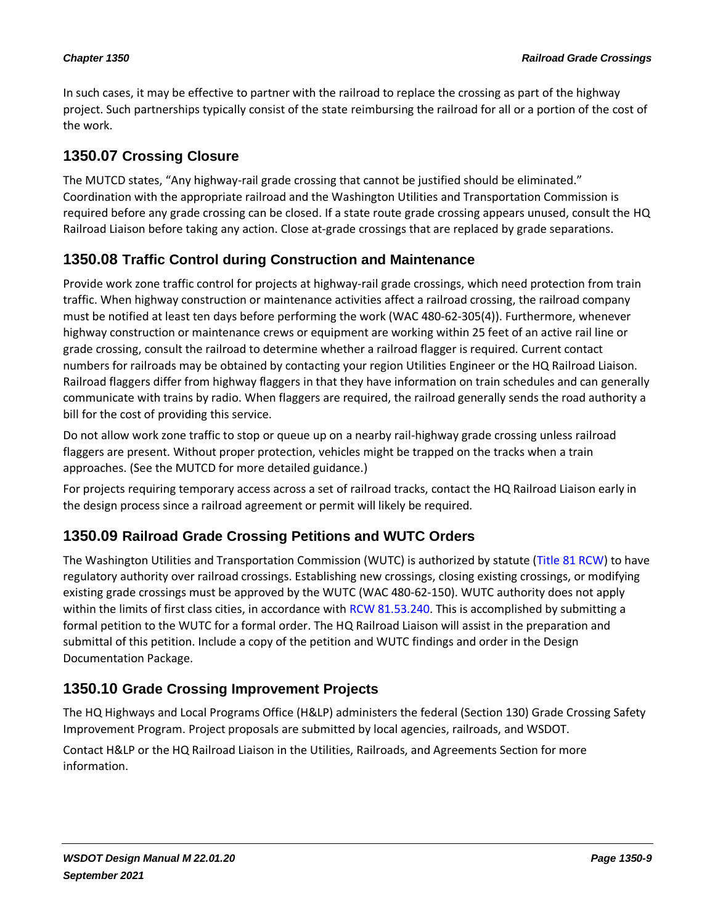In such cases, it may be effective to partner with the railroad to replace the crossing as part of the highway project. Such partnerships typically consist of the state reimbursing the railroad for all or a portion of the cost of the work.

# <span id="page-8-0"></span>**1350.07 Crossing Closure**

The [MUTCD](http://www.wsdot.wa.gov/Publications/Manuals/MUTCD.htm) states, "Any highway-rail grade crossing that cannot be justified should be eliminated." Coordination with the appropriate railroad and the Washington Utilities and Transportation Commission is required before any grade crossing can be closed. If a state route grade crossing appears unused, consult the HQ Railroad Liaison before taking any action. Close at-grade crossings that are replaced by grade separations.

# <span id="page-8-1"></span>**1350.08 Traffic Control during Construction and Maintenance**

Provide work zone traffic control for projects at highway-rail grade crossings, which need protection from train traffic. When highway construction or maintenance activities affect a railroad crossing, the railroad company must be notified at least ten days before performing the work (WAC [480-62-305\(4\)\)](http://apps.leg.wa.gov/wac/default.aspx?cite=480-62-305). Furthermore, whenever highway construction or maintenance crews or equipment are working within 25 feet of an active rail line or grade crossing, consult the railroad to determine whether a railroad flagger is required. Current contact numbers for railroads may be obtained by contacting your region Utilities Engineer or the HQ Railroad Liaison. Railroad flaggers differ from highway flaggers in that they have information on train schedules and can generally communicate with trains by radio. When flaggers are required, the railroad generally sends the road authority a bill for the cost of providing this service.

Do not allow work zone traffic to stop or queue up on a nearby rail-highway grade crossing unless railroad flaggers are present. Without proper protection, vehicles might be trapped on the tracks when a train approaches. (See the [MUTCD](http://www.wsdot.wa.gov/Publications/Manuals/MUTCD.htm) for more detailed guidance.)

For projects requiring temporary access across a set of railroad tracks, contact the HQ Railroad Liaison early in the design process since a railroad agreement or permit will likely be required.

# <span id="page-8-2"></span>**1350.09 Railroad Grade Crossing Petitions and WUTC Orders**

The Washington Utilities and Transportation Commission (WUTC) is authorized by statute (Title 81 [RCW\)](http://apps.leg.wa.gov/RCW/default.aspx?Cite=81) to have regulatory authority over railroad crossings. Establishing new crossings, closing existing crossings, or modifying existing grade crossings must be approved by the WUTC (WAC [480-62-150\)](http://apps.leg.wa.gov/wac/default.aspx?cite=480-62-150). WUTC authority does not apply within the limits of first class cities, in accordance with RCW [81.53.240.](http://apps.leg.wa.gov/RCW/default.aspx?cite=81.53.240) This is accomplished by submitting a formal petition to the WUTC for a formal order. The HQ Railroad Liaison will assist in the preparation and submittal of this petition. Include a copy of the petition and WUTC findings and order in the Design Documentation Package.

# <span id="page-8-3"></span>**1350.10 Grade Crossing Improvement Projects**

The HQ Highways and Local Programs Office (H&LP) administers the federal (Section 130) Grade Crossing Safety Improvement Program. Project proposals are submitted by local agencies, railroads, and WSDOT.

Contact H&LP or the HQ Railroad Liaison in the Utilities, Railroads, and Agreements Section for more information.